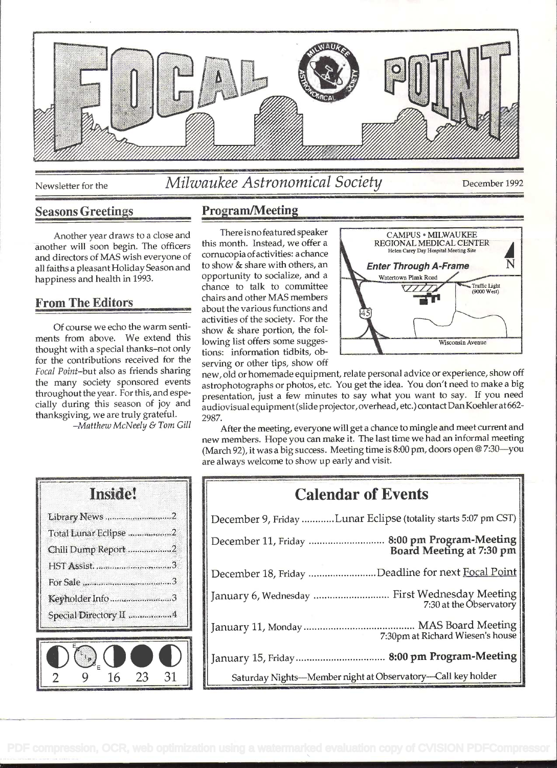

# Newsletter for the Milwaukee Astronomical Society December 1992

#### Seasons Greetings Program/Meeting

Another year draws to a close and another will soon begin. The officers and directors of MAS wish everyone of all faiths a pleasant Holiday Season and to show & share with others, and happiness and health in 1993 happiness and health in 1993.

#### From The Editors

of course we echo the warm sentiments from above. We extend this thought with a special thanks-not only for the contributions received for the Focal Point-but also as friends sharing the many society sponsored events throughout the year. For this, and especially during this season of joy and thanksgiving, we are truly grateful.

-Matthew McNeely & Tom Gill

activities of the society. For the show & share portion, the foltions: information tidbits, observing or other tips, show off



new, old or homemade equipment, relate personal advice or experience, show off astrophotographs or photos, etc. You get the idea. You don't need to make a big presentation, just a few minutes to say what you want to say. If you need audiovisual equipment (slide projector, overhead, etc.) contact Dan Koehier at 662- 2987.

After the meeting, everyone will get a chance to mingle and meet current and new members. Hope you can make it. The last time we had an informal meeting (March 92), it was a big success. Meeting time is 8:00 pm, doors open @ 7:30-you are always welcome to show up early and visit.

| Total Lunar Eclipse 2<br>Chili Dump Report 2<br>HST Assist3<br>Keyholder Info3<br>Special Directory II 4 |  |
|----------------------------------------------------------------------------------------------------------|--|
|                                                                                                          |  |
|                                                                                                          |  |
|                                                                                                          |  |
|                                                                                                          |  |
|                                                                                                          |  |
|                                                                                                          |  |

| <b>Calendar of Events</b>                                                |  |
|--------------------------------------------------------------------------|--|
| December 9, Friday Lunar Eclipse (totality starts 5:07 pm CST)           |  |
|                                                                          |  |
| December 18, Friday Deadline for next Focal Point                        |  |
| January 6, Wednesday  First Wednesday Meeting<br>7:30 at the Observatory |  |
| 7:30pm at Richard Wiesen's house                                         |  |
|                                                                          |  |
| Saturday Nights-Member night at Observatory-Call key holder              |  |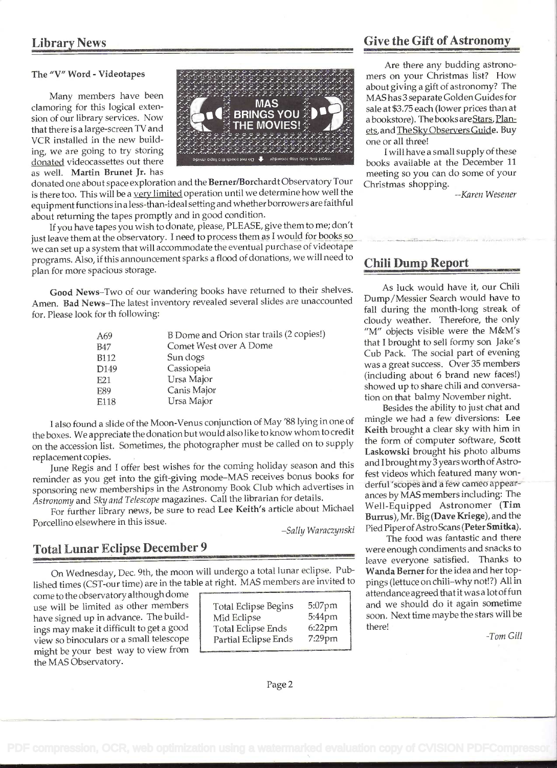#### The "V" Word - Videotapes

Many members have been clamoring for this logical extension of our library services. Now that there is a large-screen TV and VGR installed in the new building. we are going to try storing donated videocassettes out there as well. Martin Brunet Jr. has



donated one about space exploration and the Bemer/Borchardt Observatory Tour is there too. This will be a very limited operation until we determine how well the equipment functions in a less-than-ideal setting and whether borrowers are faithful about returning the tapes promptly and in good condition.

If you have tapes you wish to donate, please, PLEASE, give them to me; don't just leave them at the observatory. I need to process them as I would for books so we can set up a system that will accommodate the eventual purchase of videotape programs. Also, if this announcement sparks a flood of donations, we will need to plan for more spacious storage.

Good News-Two of our wandering books have returned to their shelves. Amen. Bad News-The latest inventory revealed several slides are unaccounted for. Please look for th following:

| A69         | B Dome and Orion star trails (2 copies!) |
|-------------|------------------------------------------|
| <b>B47</b>  | Comet West over A Dome                   |
| <b>B112</b> | Sun dogs                                 |
| D149        | Cassiopeia                               |
| E21         | Ursa Major                               |
| E89         | Canis Major                              |
| E118        | Ursa Major                               |

<sup>I</sup>also found a slide of the Moon-Venus conjunction of May '88 lying in one of the boxes. We appreciate the donation but would also like to know whom to credit on the accession list. Sometimes, the photographer must be called on to supply replacement copies.

June Regis and I offer best wishes for the coming holiday season and this reminder as you get into the gift-giving mode-MAS receives bonus books for sponsoring new memberships in the Astronomy Book Club which advertises in Astronomy and Sky and Telescope magazines. Call the librarian for details.

For further library news, be sure to read Lee Keith's article about Michael Porcellino elsewhere in this issue.

-Sally Waraczynski

#### Total Lunar Eclipse December 9

On Wednesday, Dec. 9th, the moon will undergo a total lunar eclipse. Published times (CST-our time) are in the table at right. MAS members are invited to

come to the observatory although dome use will be limited as other members have signed up in advance. The buildings may make it difficult to get a good view so binoculars or a small telescope might be your best way to view from the MAS Observatory.

| <b>Total Eclipse Begins</b> | 5:07pm    |
|-----------------------------|-----------|
| Mid Eclipse                 | 5:44pm    |
| <b>Total Eclipse Ends</b>   | $6:22$ pm |
| Partial Eclipse Ends        | 7:29pm    |
|                             |           |

#### Library News Give the Gift of Astronomy

Are there any budding astronomers on your Christmas list? How about giving a gift of astronomy? The MAS has 3 separate Golden Guides for sale at \$3.75 each (lower prices than at a bookstore). The books are Stars, Planets, and The Sky Observers Guide. Buy one or all three!

<sup>I</sup>will have a small supply of these books available at the December 11 meeting so you can do some of your Christmas shopping.

--Karen Wesener

#### Chili Dump Report

As luck would have it, our Chili Dump/Messier Search would have to fall during the month-long streak of cloudy weather. Therefore, the only "M" objects visible were the M&M's that I brought to sell formy son Jake's Cub Pack. The social part of evening was a great success. Over 35 members (including about 6 brand new faces!) showed up to share chili and conversation on that balmy November night.

Besides the ability to just chat and mingle we had a few diversions: Lee Keith brought a clear sky with him in the form of computer software, Scott Laskowski brought his photo albums and I broughtmy 3 years worth of Astrofest videos which featured many wonderful 'scopes and a few cameo appearances by MAS members including: The Well-Equipped Astronomer (Tim Burrus), Mr. Big (Dave Kriege), and the Pied Piper of Astro Scans (Peter Smitka).

The food was fantastic and there were enough condiments and snacks to leave everyone satisfied. Thanks to Wanda Berner for the idea and her toppings (lettuce on chili-why not!?) All in attendanceagreed thatitwasa lotof fun and we should do it again sometime soon. Next time maybe the stars will be there!

-Tom Gill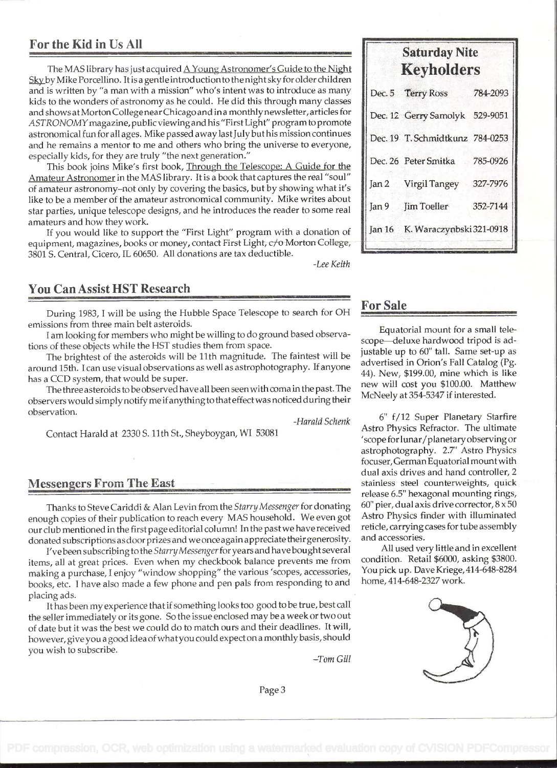#### For the Kid in Us All

The MAS library has just acquired <u>A Young Astronomer's Guide to the Night Sky</u> by Mike Porcellino. It is a gentle introduction to the night sky for older children and is written by "a man with a mission" who's intent was to introduce as many kids to the wonders of astronomy as he could. He did this through many classes and shows at Morton College near Chicago and in a monthlynewsletter, articles for ASTRONOMYmagazine, publicviewingand his "First Light" program to promote astronomical fun for all ages. Mike passed away lastJuly buthis mission continues and he remains a mentor to me and others who bring the universe to everyone, especially kids, for they are truly "the next generation."

This book joins Mike's first book, Through the Telescope: A Guide for the Amateur Astronomer in the MAS library. It is a book that captures the real "soul" of amateur astronomy-not only by covering the basics, but by showing what it's like to be a member of the amateur astronomical community. Mike writes about star parties, unique telescope designs, and he introduces the reader to some real amateurs and how they work.

If you would like to support the "First Light" program with a donation of equipment, magazines, books or money, contact First Light, c/o Morton College, 3801 S. Central, Cicero, IL 60650. All donations are tax deductible.

-Lee Keith

### You Can Assist HST Research

During 1983, I will be using the Hubble Space Telescope to search for OH emissions from three main belt asteroids.

I am looking for members who might be willing to do ground based observations of these objects while the HST studies them from space.

The brightest of the asteroids will be 11th magnitude. The faintest will be around 15th. I can use visual observations as well as astrophotography. If anyone has a CCD system, that would be super.

The three asteroids to be observed have all been seenwith coma in the past. The observers would simplynotify me ifanything to thateffectwas noticedduring their observation.

-Harald Schenk

Contact Harald at 2330 S. 11th St., Sheyboygan, WI 53081

#### **Messengers From The East**

Thanks to Steve Cariddi & Alan Levin from the Starry Messenger for donating enough copies of their publication to reach every MAS household. We even got our club mentioned in the first page editorial column! In the pastwe have received donated subscriptions as door prizes and we once again appreciate their generosity.

I've been subscribing to the Starry Messenger for years and have bought several items, all at great prices. Even when my checkbook balance prevents me from making a purchase, I enjoy "window shopping" the various 'scopes, accessories, books, etc. I have also made a few phone and pen pals from responding to and placing ads.

It has been my experience that if something looks too good to be true, best call the seller immediately or its gone. So the issue enclosed may be a week or two out of date but it was the best we could do to match ours and their deadlines. It will, however, give you a good idea of what you could expect on a monthly basis, should you wish to subscribe.

-Tom Gill

# Saturday Nite Keyholders

|                  | Dec. 5 Terry Ross               | 784-2093 |  |
|------------------|---------------------------------|----------|--|
|                  | Dec. 12 Gerry Samolyk 529-9051  |          |  |
|                  | Dec. 19 T. Schmidtkunz 784-0253 |          |  |
|                  | Dec. 26 Peter Smitka            | 785-0926 |  |
|                  | Jan 2 Virgil Tangey             | 327-7976 |  |
| Jan <sub>9</sub> | <b>Fim Toeller</b>              | 352-7144 |  |
|                  | Jan 16 K. Waraczynbski 321-0918 |          |  |
|                  |                                 |          |  |

### For Sale

Equatorial mount for a small telescope-deluxe hardwood tripod is adjustable up to 60" tall. Same set-up as advertised in Orion's Fall Catalog (Pg. 44). New, \$199.00, mine which is like new will cost you \$100.00. Matthew McNeely at 354-5347 if interested.

6' f/12 Super Planetary Starfire Astro Physics Refractor. The ultimate 'scope for lunar/planetary observing or astrophotography. 2.7" Astro Physics focuser,German Equatorial mount with dual axis drives and hand controller, 2 stainless steel counterweights, quick release 6.5" hexagonal mounting rings,  $60"$  pier, dual axis drive corrector,  $8 \times 50$ Astro Physics finder with illuminated reticle, carrying cases for tube assembly and accessories.

All used very little and in excellent condition. Retail \$6000, asking \$3800. You pick up. Dave Kriege, 414-648-8284 home, 414-648-2327 work.